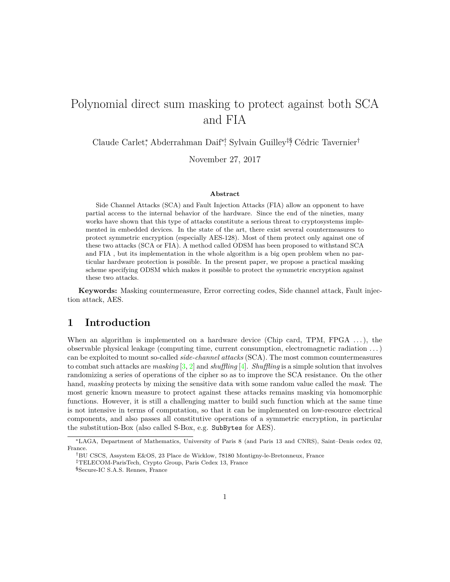# Polynomial direct sum masking to protect against both SCA and FIA

Claude Carlet\*, Abderrahman Daif\*<sup>†</sup>, Sylvain Guilley<sup>‡§</sup>, Cédric Tavernier<sup>†</sup>

November 27, 2017

#### **Abstract**

Side Channel Attacks (SCA) and Fault Injection Attacks (FIA) allow an opponent to have partial access to the internal behavior of the hardware. Since the end of the nineties, many works have shown that this type of attacks constitute a serious threat to cryptosystems implemented in embedded devices. In the state of the art, there exist several countermeasures to protect symmetric encryption (especially AES-128). Most of them protect only against one of these two attacks (SCA or FIA). A method called ODSM has been proposed to withstand SCA and FIA , but its implementation in the whole algorithm is a big open problem when no particular hardware protection is possible. In the present paper, we propose a practical masking scheme specifying ODSM which makes it possible to protect the symmetric encryption against these two attacks.

**Keywords:** Masking countermeasure, Error correcting codes, Side channel attack, Fault injection attack, AES.

# **1 Introduction**

When an algorithm is implemented on a hardware device (Chip card, TPM,  $FPGA \ldots$ ), the observable physical leakage (computing time, current consumption, electromagnetic radiation . . . ) can be exploited to mount so-called *side-channel attacks* (SCA). The most common countermeasures to combat such attacks are *masking* [\[3,](#page-13-0) [2\]](#page-13-1) and *shuffling* [\[4\]](#page-13-2). *Shuffling* is a simple solution that involves randomizing a series of operations of the cipher so as to improve the SCA resistance. On the other hand, *masking* protects by mixing the sensitive data with some random value called the *mask*. The most generic known measure to protect against these attacks remains masking via homomorphic functions. However, it is still a challenging matter to build such function which at the same time is not intensive in terms of computation, so that it can be implemented on low-resource electrical components, and also passes all constitutive operations of a symmetric encryption, in particular the substitution-Box (also called S-Box, e.g. SubBytes for AES).

<sup>∗</sup>LAGA, Department of Mathematics, University of Paris 8 (and Paris 13 and CNRS), Saint–Denis cedex 02, France.

<sup>†</sup>BU CSCS, Assystem E&OS, 23 Place de Wicklow, 78180 Montigny-le-Bretonneux, France

<sup>‡</sup>TELECOM-ParisTech, Crypto Group, Paris Cedex 13, France

<sup>§</sup>Secure-IC S.A.S. Rennes, France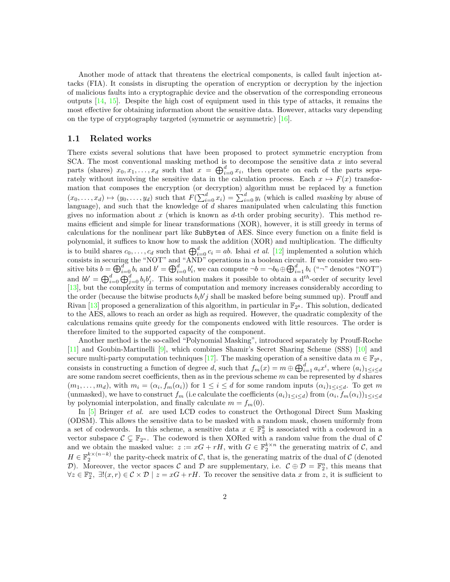Another mode of attack that threatens the electrical components, is called fault injection attacks (FIA). It consists in disrupting the operation of encryption or decryption by the injection of malicious faults into a cryptographic device and the observation of the corresponding erroneous outputs [\[14,](#page-14-0) [15\]](#page-14-1). Despite the high cost of equipment used in this type of attacks, it remains the most effective for obtaining information about the sensitive data. However, attacks vary depending on the type of cryptography targeted (symmetric or asymmetric) [\[16\]](#page-14-2).

#### **1.1 Related works**

There exists several solutions that have been proposed to protect symmetric encryption from SCA. The most conventional masking method is to decompose the sensitive data *x* into several parts (shares)  $x_0, x_1, \ldots, x_d$  such that  $x = \bigoplus_{i=0}^d x_i$ , then operate on each of the parts separately without involving the sensitive data in the calculation process. Each  $x \mapsto F(x)$  transformation that composes the encryption (or decryption) algorithm must be replaced by a function  $(x_0, \ldots, x_d) \mapsto (y_0, \ldots, y_d)$  such that  $F(\sum_{i=0}^d x_i) = \sum_{i=0}^d y_i$  (which is called *masking* by abuse of language), and such that the knowledge of *d* shares manipulated when calculating this function gives no information about *x* (which is known as *d*-th order probing security). This method remains efficient and simple for linear transformations (XOR), however, it is still greedy in terms of calculations for the nonlinear part like SubBytes of AES. Since every function on a finite field is polynomial, it suffices to know how to mask the addition (XOR) and multiplication. The difficulty is to build shares  $c_0, \ldots, c_d$  such that  $\bigoplus_{i=0}^d c_i = ab$ . Ishai *et al.* [\[12\]](#page-14-3) implemented a solution which consists in securing the "NOT" and "AND" operations in a boolean circuit. If we consider two sensitive bits  $b = \bigoplus_{i=0}^{d} b_i$  and  $b' = \bigoplus_{i=0}^{d} b'_i$ , we can compute  $\neg b = \neg b_0 \oplus \bigoplus_{i=1}^{d} b_i$  (" $\neg$ " denotes "NOT") and  $bb' = \bigoplus_{i=0}^d \bigoplus_{j=0}^d b_i b'_j$ . This solution makes it possible to obtain a  $d^{th}$ -order of security level [\[13\]](#page-14-4), but the complexity in terms of computation and memory increases considerably according to the order (because the bitwise products  $b_i b' j$  shall be masked before being summed up). Prouff and Rivan [\[13\]](#page-14-4) proposed a generalization of this algorithm, in particular in  $\mathbb{F}_{2^8}$ . This solution, dedicated to the AES, allows to reach an order as high as required. However, the quadratic complexity of the calculations remains quite greedy for the components endowed with little resources. The order is therefore limited to the supported capacity of the component.

Another method is the so-called "Polynomial Masking", introduced separately by Prouff-Roche [\[11\]](#page-14-5) and Goubin-Martinelli [\[9\]](#page-13-3), which combines Shamir's Secret Sharing Scheme (SSS) [\[10\]](#page-13-4) and secure multi-party computation techniques [\[17\]](#page-14-6). The masking operation of a sensitive data  $m \in \mathbb{F}_{2^8}$ , consists in constructing a function of degree *d*, such that  $f_m(x) = m \oplus \bigoplus_{i=1}^d a_i x^i$ , where  $(a_i)_{1 \leq i \leq d}$ are some random secret coefficients, then as in the previous scheme *m* can be represented by *d* shares  $(m_1, \ldots, m_d)$ , with  $m_i = (\alpha_i, f_m(\alpha_i))$  for  $1 \leq i \leq d$  for some random inputs  $(\alpha_i)_{1 \leq i \leq d}$ . To get m (unmasked), we have to construct  $f_m$  (i.e calculate the coefficients  $(a_i)_{1 \leq i \leq d}$ ) from  $(\alpha_i, f_m(\alpha_i))_{1 \leq i \leq d}$ by polynomial interpolation, and finally calculate  $m = f_m(0)$ .

In [\[5\]](#page-13-5) Bringer *et al.* are used LCD codes to construct the Orthogonal Direct Sum Masking (ODSM). This allows the sensitive data to be masked with a random mask, chosen uniformly from a set of codewords. In this scheme, a sensitive data  $x \in \mathbb{F}_2^k$  is associated with a codeword in a vector subspace  $\mathcal{C} \subsetneq \mathbb{F}_{2^n}$ . The codeword is then XORed with a random value from the dual of  $\mathcal{C}$ and we obtain the masked value:  $z := xG + rH$ , with  $G \in \mathbb{F}_2^{k \times n}$  the generating matrix of  $\mathcal{C}$ , and  $H \in \mathbb{F}_2^{k \times (n-k)}$  the parity-check matrix of C, that is, the generating matrix of the dual of C (denoted D). Moreover, the vector spaces C and D are supplementary, i.e.  $\mathcal{C} \oplus \mathcal{D} = \mathbb{F}_2^n$ , this means that  $\forall z \in \mathbb{F}_2^n$ ,  $\exists !(x, r) \in \mathcal{C} \times \mathcal{D} \mid z = xG + rH$ . To recover the sensitive data x from z, it is sufficient to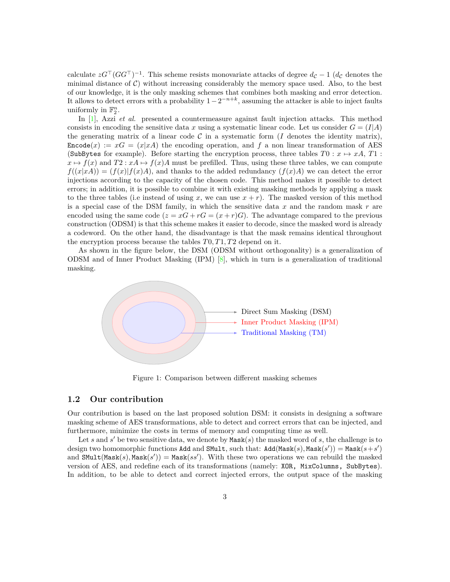calculate  $zG^{\top} (GG^{\top})^{-1}$ . This scheme resists monovariate attacks of degree  $d_{\mathcal{C}} - 1$  ( $d_{\mathcal{C}}$  denotes the minimal distance of  $\mathcal{C}$ ) without increasing considerably the memory space used. Also, to the best of our knowledge, it is the only masking schemes that combines both masking and error detection. It allows to detect errors with a probability  $1-2^{-n+k}$ , assuming the attacker is able to inject faults uniformly in  $\mathbb{F}_2^n$ .

In [\[1\]](#page-13-6), Azzi *et al.* presented a countermeasure against fault injection attacks. This method consists in encoding the sensitive data *x* using a systematic linear code. Let us consider  $G = (I|A)$ the generating matrix of a linear code  $C$  in a systematic form  $(I$  denotes the identity matrix),  $\text{Encode}(x) := xG = (x|xA)$  the encoding operation, and f a non linear transformation of AES (SubBytes for example). Before starting the encryption process, three tables  $T0: x \mapsto xA, T1$ :  $x \mapsto f(x)$  and  $T2 : xA \mapsto f(x)A$  must be prefilled. Thus, using these three tables, we can compute  $f((x|xA)) = (f(x)|f(x)A)$ , and thanks to the added redundancy  $(f(x)A)$  we can detect the error injections according to the capacity of the chosen code. This method makes it possible to detect errors; in addition, it is possible to combine it with existing masking methods by applying a mask to the three tables (i.e instead of using x, we can use  $x + r$ ). The masked version of this method is a special case of the DSM family, in which the sensitive data *x* and the random mask *r* are encoded using the same code  $(z = xG + rG = (x + r)G)$ . The advantage compared to the previous construction (ODSM) is that this scheme makes it easier to decode, since the masked word is already a codeword. On the other hand, the disadvantage is that the mask remains identical throughout the encryption process because the tables *T*0*, T*1*, T*2 depend on it.

As shown in the figure below, the DSM (ODSM without orthogonality) is a generalization of ODSM and of Inner Product Masking  $(IPM)$  [\[8\]](#page-13-7), which in turn is a generalization of traditional masking.



Figure 1: Comparison between different masking schemes

#### **1.2 Our contribution**

Our contribution is based on the last proposed solution DSM: it consists in designing a software masking scheme of AES transformations, able to detect and correct errors that can be injected, and furthermore, minimize the costs in terms of memory and computing time as well.

Let  $s$  and  $s'$  be two sensitive data, we denote by  $\text{Mask}(s)$  the masked word of  $s$ , the challenge is to design two homomorphic functions Add and SMult, such that:  $Add(Mask(s), Mask(s')) = Mask(s+s')$ and  $\texttt{SMult}(\texttt{Mask}(s),\texttt{Mask}(s')) = \texttt{Mask}(ss')$ . With these two operations we can rebuild the masked version of AES, and redefine each of its transformations (namely: XOR, MixColumns, SubBytes). In addition, to be able to detect and correct injected errors, the output space of the masking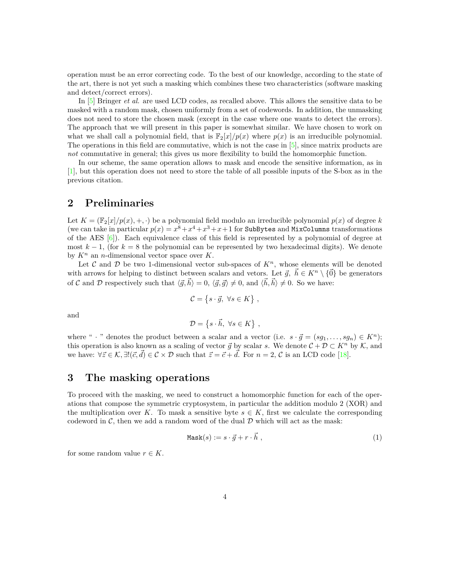operation must be an error correcting code. To the best of our knowledge, according to the state of the art, there is not yet such a masking which combines these two characteristics (software masking and detect/correct errors).

In [\[5\]](#page-13-5) Bringer *et al.* are used LCD codes, as recalled above. This allows the sensitive data to be masked with a random mask, chosen uniformly from a set of codewords. In addition, the unmasking does not need to store the chosen mask (except in the case where one wants to detect the errors). The approach that we will present in this paper is somewhat similar. We have chosen to work on what we shall call a polynomial field, that is  $\mathbb{F}_2[x]/p(x)$  where  $p(x)$  is an irreducible polynomial. The operations in this field are commutative, which is not the case in  $[5]$ , since matrix products are *not* commutative in general; this gives us more flexibility to build the homomorphic function.

In our scheme, the same operation allows to mask and encode the sensitive information, as in [\[1\]](#page-13-6), but this operation does not need to store the table of all possible inputs of the S-box as in the previous citation.

# **2 Preliminaries**

Let  $K = \frac{\mathbb{F}_2[x]}{p(x), +, \cdot}$  be a polynomial field modulo an irreducible polynomial  $p(x)$  of degree k (we can take in particular  $p(x) = x^8 + x^4 + x^3 + x + 1$  for SubBytes and MixColumns transformations of the AES  $[6]$ ). Each equivalence class of this field is represented by a polynomial of degree at most  $k-1$ , (for  $k=8$  the polynomial can be represented by two hexadecimal digits). We denote by  $K^n$  an *n*-dimensional vector space over K.

Let C and D be two 1-dimensional vector sub-spaces of  $K<sup>n</sup>$ , whose elements will be denoted with arrows for helping to distinct between scalars and vetors. Let  $\vec{g}, h \in K^n \setminus \{0\}$  be generators of C and D respectively such that  $\langle \vec{g}, \vec{h} \rangle = 0, \langle \vec{g}, \vec{g} \rangle \neq 0$ , and  $\langle \vec{h}, \vec{h} \rangle \neq 0$ . So we have:

$$
\mathcal{C} = \{ s \cdot \vec{g}, \ \forall s \in K \} ,
$$

and

$$
\mathcal{D} = \{ s \cdot \vec{h}, \ \forall s \in K \} ,
$$

where " · " denotes the product between a scalar and a vector (i.e.  $s \cdot \vec{g} = (sg_1, \ldots, sg_n) \in K^n$ ); this operation is also known as a scaling of vector  $\vec{g}$  by scalar  $s$ . We denote  $C + \mathcal{D} \subset K^n$  by  $\mathcal{K}$ , and we have:  $\forall \vec{z} \in \mathcal{K}, \exists! (\vec{c}, \vec{d}) \in \mathcal{C} \times \mathcal{D}$  such that  $\vec{z} = \vec{c} + \vec{d}$ . For  $n = 2, \vec{c}$  is an LCD code [\[18\]](#page-14-7).

### **3 The masking operations**

To proceed with the masking, we need to construct a homomorphic function for each of the operations that compose the symmetric cryptosystem, in particular the addition modulo 2 (XOR) and the multiplication over *K*. To mask a sensitive byte  $s \in K$ , first we calculate the corresponding codeword in  $\mathcal{C}$ , then we add a random word of the dual  $\mathcal{D}$  which will act as the mask:

$$
Mask(s) := s \cdot \vec{g} + r \cdot \vec{h} \tag{1}
$$

for some random value  $r \in K$ .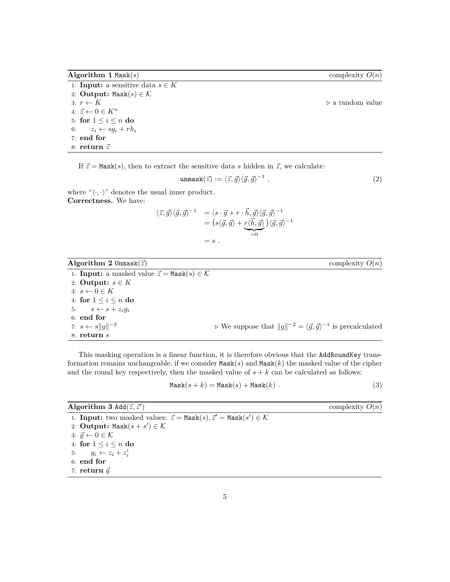<span id="page-4-0"></span>**Algorithm 1** Mask(*s*) complexity *O*(*n*)

1: **Input:** a sensitive data  $s \in K$ 2: **Output:** Mask $(s) \in \mathcal{K}$ 3:  $r \leftarrow K$  ... a random value 4:  $\vec{z} \leftarrow 0 \in K^n$ 5: for  $1 \leq i \leq n$  do 6:  $z_i \leftarrow sg_i + rh_i$ 7: **end for**

8: **return**  $\vec{z}$ 

If  $\vec{z} = \text{Mask}(s)$ , then to extract the sensitive data *s* hidden in  $\vec{z}$ , we calculate:

$$
\text{unmask}(\vec{z}) := \langle \vec{z}, \vec{g} \rangle \langle \vec{g}, \vec{g} \rangle^{-1} \tag{2}
$$

where " $\langle \cdot, \cdot \rangle$ " denotes the usual inner product. **Correctness.** We have:

$$
\langle \vec{z}, \vec{g} \rangle \langle \vec{g}, \vec{g} \rangle^{-1} = \langle s \cdot \vec{g} + r \cdot \vec{h}, \vec{g} \rangle \langle \vec{g}, \vec{g} \rangle^{-1} \n= \left( s \langle \vec{g}, \vec{g} \rangle + \underbrace{r \langle \vec{h}, \vec{g} \rangle}_{=0} \right) \langle \vec{g}, \vec{g} \rangle^{-1} \n= s .
$$

| Algorithm 2 Unmask $(\vec{z})$                                             | complexity $O(n)$                                                                                      |
|----------------------------------------------------------------------------|--------------------------------------------------------------------------------------------------------|
| 1: <b>Input:</b> a masked value $\vec{z} = \text{Mask}(s) \in \mathcal{K}$ |                                                                                                        |
| 2: Output: $s \in K$                                                       |                                                                                                        |
| $3: s \leftarrow 0 \in K$                                                  |                                                                                                        |
| 4: for $1 \leq i \leq n$ do                                                |                                                                                                        |
| 5: $s \leftarrow s + z_i q_i$                                              |                                                                                                        |
| $6:$ end for                                                               |                                                                                                        |
| 7: $s \leftarrow s  q  ^{-2}$                                              | $\triangleright$ We suppose that $  g  ^{-2} = \langle \vec{g}, \vec{g} \rangle^{-1}$ is precalculated |
| $8:$ return $s$                                                            |                                                                                                        |

This masking operation is a linear function, it is therefore obvious that the AddRoundKey transformation remains unchangeable, if we consider Mask(*s*) and Mask(*k*) the masked value of the cipher and the round key respectively, then the masked value of  $s + k$  can be calculated as follows:

$$
Mask(s + k) = Mask(s) + Mask(k) .
$$
\n(3)

**Algorithm 3** Add $(\vec{z}, \vec{z}')$ ) complexity *O*(*n*) 1: **Input:** two masked values:  $\vec{z} = \text{Mask}(s), \vec{z}' = \text{Mask}(s') \in \mathcal{K}$ 2:  $\textbf{Output:} \ \text{Mask}(s + s') \in \mathcal{K}$ 3:  $\vec{y} \leftarrow 0 \in \mathcal{K}$ 4: **for**  $1 \leq i \leq n$  **do** 5:  $y_i \leftarrow z_i + z'_i$ 6: **end for** 7: **return**  $\vec{y}$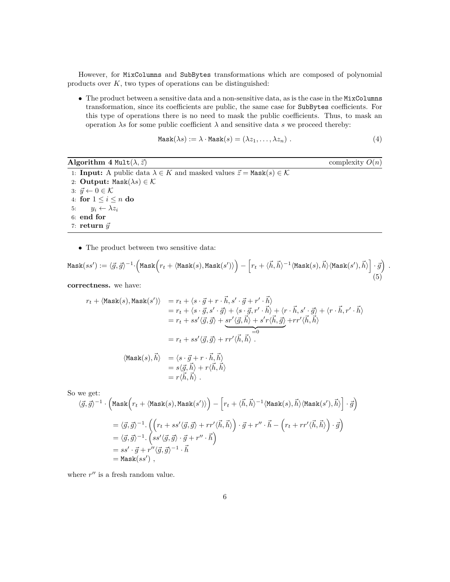However, for MixColumns and SubBytes transformations which are composed of polynomial products over *K*, two types of operations can be distinguished:

• The product between a sensitive data and a non-sensitive data, as is the case in the MixColumns transformation, since its coefficients are public, the same case for SubBytes coefficients. For this type of operations there is no need to mask the public coefficients. Thus, to mask an operation  $\lambda s$  for some public coefficient  $\lambda$  and sensitive data  $s$  we proceed thereby:

$$
Mask(\lambda s) := \lambda \cdot Mask(s) = (\lambda z_1, \dots, \lambda z_n).
$$
\n(4)

*.*

**Algorithm 4** Mult $(\lambda, \vec{z})$  complexity  $O(n)$ 

1: **Input:** A public data  $\lambda \in K$  and masked values  $\vec{z} = \text{Mask}(s) \in \mathcal{K}$ 2: **Output:** Mask $(\lambda s) \in \mathcal{K}$ 3:  $\vec{y} \leftarrow 0 \in \mathcal{K}$ 4: **for**  $1 \leq i \leq n$  **do** 5:  $y_i \leftarrow \lambda z_i$ 6: **end for** 7: **return**  $\vec{y}$ 

 $= r\langle \vec{h}, \vec{h}\rangle$ .

• The product between two sensitive data:

$$
\text{Mask}(ss') := \langle \vec{g}, \vec{g} \rangle^{-1} \cdot \Big( \text{Mask}\Big(r_t + \langle \text{Mask}(s), \text{Mask}(s') \rangle \Big) - \Big[r_t + \langle \vec{h}, \vec{h} \rangle^{-1} \langle \text{Mask}(s), \vec{h} \rangle \big( \text{Mask}(s'), \vec{h} \rangle \Big] \cdot \vec{g} \Big)
$$
(5)

**correctness.** we have:

$$
r_t + \langle \text{Mask}(s), \text{Mask}(s') \rangle = r_t + \langle s \cdot \vec{g} + r \cdot \vec{h}, s' \cdot \vec{g} + r' \cdot \vec{h} \rangle
$$
  
\n
$$
= r_t + \langle s \cdot \vec{g}, s' \cdot \vec{g} \rangle + \langle s \cdot \vec{g}, r' \cdot \vec{h} \rangle + \langle r \cdot \vec{h}, s' \cdot \vec{g} \rangle + \langle r \cdot \vec{h}, r' \cdot \vec{h} \rangle
$$
  
\n
$$
= r_t + ss' \langle \vec{g}, \vec{g} \rangle + sr' \langle \vec{g}, \vec{h} \rangle + s' r \langle \vec{h}, \vec{g} \rangle + rr' \langle \vec{h}, \vec{h} \rangle
$$
  
\n
$$
= r_t + ss' \langle \vec{g}, \vec{g} \rangle + rr' \langle \vec{h}, \vec{h} \rangle
$$
  
\n
$$
\langle \text{Mask}(s), \vec{h} \rangle = \langle s \cdot \vec{g} + r \cdot \vec{h}, \vec{h} \rangle
$$
  
\n
$$
= s \langle \vec{g}, \vec{h} \rangle + r \langle \vec{h}, \vec{h} \rangle
$$

So we get:

$$
\langle \vec{g}, \vec{g} \rangle^{-1} \cdot \left( \text{Mask}\Big(r_t + \langle \text{Mask}(s), \text{Mask}(s') \rangle \Big) - \Big[r_t + \langle \vec{h}, \vec{h} \rangle^{-1} \langle \text{Mask}(s), \vec{h} \rangle \langle \text{Mask}(s'), \vec{h} \rangle \Big] \cdot \vec{g} \right)
$$
  
\n
$$
= \langle \vec{g}, \vec{g} \rangle^{-1} \cdot \Big( \Big( r_t + ss' \langle \vec{g}, \vec{g} \rangle + rr' \langle \vec{h}, \vec{h} \rangle \Big) \cdot \vec{g} + r'' \cdot \vec{h} - \Big( r_t + rr' \langle \vec{h}, \vec{h} \rangle \Big) \cdot \vec{g} \Big)
$$
  
\n
$$
= \langle \vec{g}, \vec{g} \rangle^{-1} \cdot \Big( ss' \langle \vec{g}, \vec{g} \rangle \cdot \vec{g} + r'' \cdot \vec{h} \Big)
$$
  
\n
$$
= ss' \cdot \vec{g} + r'' \langle \vec{g}, \vec{g} \rangle^{-1} \cdot \vec{h}
$$
  
\n
$$
= \text{Mask}(ss') ,
$$

where  $r''$  is a fresh random value.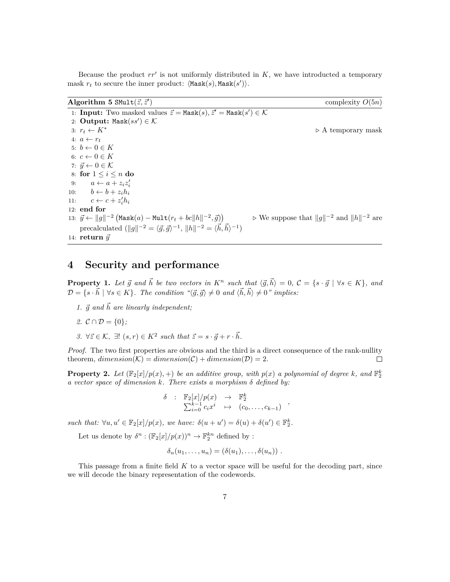Because the product  $rr'$  is not uniformly distributed in  $K$ , we have introducted a temporary mask  $r_t$  to secure the inner product:  $\langle \text{Mask}(s), \text{Mask}(s') \rangle$ .

| Algorithm 5 SMult $(\vec{z}, \vec{z}')$                                                                                  | complexity $O(5n)$                                                 |
|--------------------------------------------------------------------------------------------------------------------------|--------------------------------------------------------------------|
| 1: <b>Input:</b> Two masked values $\vec{z} = \text{Mask}(s), \vec{z}' = \text{Mask}(s') \in \mathcal{K}$                |                                                                    |
| 2: Output: Mask $(ss') \in \mathcal{K}$                                                                                  |                                                                    |
| 3: $r_t \leftarrow K^*$                                                                                                  | $\triangleright$ A temporary mask                                  |
| 4: $a \leftarrow r_t$                                                                                                    |                                                                    |
| 5: $b \leftarrow 0 \in K$                                                                                                |                                                                    |
| 6: $c \leftarrow 0 \in K$                                                                                                |                                                                    |
| 7: $\vec{y} \leftarrow 0 \in \mathcal{K}$                                                                                |                                                                    |
| 8: for $1 \leq i \leq n$ do                                                                                              |                                                                    |
| 9: $a \leftarrow a + z_i z'_i$                                                                                           |                                                                    |
| 10: $b \leftarrow b + z_i h_i$                                                                                           |                                                                    |
| 11: $c \leftarrow c + z'_i h_i$                                                                                          |                                                                    |
| $12:$ end for                                                                                                            |                                                                    |
| 13: $\vec{y} \leftarrow   g  ^{-2} (\text{Mask}(a) - \text{Mult}(r_t + bc  h  ^{-2}, \vec{g}))$                          | $\triangleright$ We suppose that $  g  ^{-2}$ and $  h  ^{-2}$ are |
| precalculated $(\ g\ ^{-2} = \langle \vec{g}, \vec{g} \rangle^{-1}, \ h\ ^{-2} = \langle \vec{h}, \vec{h} \rangle^{-1})$ |                                                                    |
| 14: return $\vec{y}$                                                                                                     |                                                                    |

# **4 Security and performance**

**Property 1.** Let  $\vec{g}$  and  $\vec{h}$  be two vectors in  $K^n$  such that  $\langle \vec{g}, \vec{h} \rangle = 0$ ,  $C = \{s \cdot \vec{g} \mid \forall s \in K\}$ , and  $\mathcal{D} = \{s \cdot \vec{h} \mid \forall s \in K\}$ . The condition " $\langle \vec{g}, \vec{g} \rangle \neq 0$  and  $\langle \vec{h}, \vec{h} \rangle \neq 0$ " implies:

1.  $\vec{g}$  and  $\vec{h}$  are linearly independent;

2. 
$$
\mathcal{C} \cap \mathcal{D} = \{0\};
$$

*3.*  $\forall \vec{z} \in \mathcal{K}, \exists! (s, r) \in K^2 \text{ such that } \vec{z} = s \cdot \vec{g} + r \cdot \vec{h}.$ 

*Proof.* The two first properties are obvious and the third is a direct consequence of the rank-nullity theorem,  $dimension(\mathcal{K}) = dimension(\mathcal{C}) + dimension(\mathcal{D}) = 2.$  $\Box$ 

**Property 2.** Let  $(\mathbb{F}_2[x]/p(x), +)$  be an additive group, with  $p(x)$  a polynomial of degree  $k$ *, and*  $\mathbb{F}_2^k$ *a vector space of dimension k. There exists a morphism δ defined by:*

$$
\delta : \mathbb{F}_2[x]/p(x) \rightarrow \mathbb{F}_2^k
$$
  

$$
\sum_{i=0}^{k-1} c_i x^i \rightarrow (c_0, \dots, c_{k-1}) ,
$$

*such that:*  $\forall u, u' \in \mathbb{F}_2[x]/p(x)$ , we have:  $\delta(u + u') = \delta(u) + \delta(u') \in \mathbb{F}_2^k$ .

Let us denote by  $\delta^n : (\mathbb{F}_2[x]/p(x))^n \to \mathbb{F}_2^{kn}$  defined by :

$$
\delta_n(u_1,\ldots,u_n)=(\delta(u_1),\ldots,\delta(u_n))\;.
$$

This passage from a finite field *K* to a vector space will be useful for the decoding part, since we will decode the binary representation of the codewords.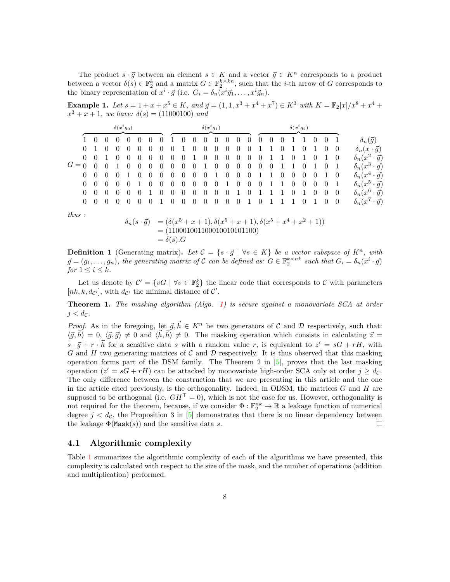The product  $s \cdot \vec{g}$  between an element  $s \in K$  and a vector  $\vec{g} \in K^n$  corresponds to a product between a vector  $\delta(s) \in \mathbb{F}_2^k$  and a matrix  $G \in \mathbb{F}_2^{k \times kn}$ , such that the *i*-th arrow of *G* corresponds to the binary representation of  $x^i \cdot \vec{g}$  (i.e.  $G_i = \delta_n(x^i \vec{g}_1, \dots, x^i \vec{g}_n)$ .

**Example 1.** Let  $s = 1 + x + x^5 \in K$ , and  $\vec{g} = (1, 1, x^3 + x^4 + x^7) \in K^3$  with  $K = \mathbb{F}_2[x]/x^8 + x^4 + x^5$  $x^3 + x + 1$ *, we have:*  $\delta(s) = (11000100)$  *and* 

|          |                     |                | $\delta(x^i g_0)$ |                |          |                |                |                |                |                | $\delta(x^i g_1)$ |                |                |                |                |                |          |                |                |                |                |                |                |                               |
|----------|---------------------|----------------|-------------------|----------------|----------|----------------|----------------|----------------|----------------|----------------|-------------------|----------------|----------------|----------------|----------------|----------------|----------|----------------|----------------|----------------|----------------|----------------|----------------|-------------------------------|
|          | $1 \quad 0$         | - 0            | 0                 |                | U        | $\theta$       | $\theta$       |                | $\theta$       | $\theta$       | $\theta$          | $\theta$       | <b>U</b>       | $\theta$       | $\theta$       | $\theta$       | $\theta$ | -0             |                |                | $\theta$       | $\overline{0}$ |                | $\delta_n(\vec{g})$           |
|          |                     | $\overline{0}$ | $\overline{0}$    | $\Omega$       | $\theta$ | $\overline{0}$ | $\overline{0}$ | $\overline{0}$ |                | $\overline{0}$ | $\overline{0}$    | $\overline{0}$ | $\overline{0}$ | $\overline{0}$ | $\overline{0}$ |                |          |                |                | $\overline{0}$ |                | $\overline{0}$ | $\overline{0}$ | $\delta_n(x\cdot\vec{g})$     |
|          | $0 \quad 0 \quad 1$ |                | $\theta$          | $\theta$       | $\theta$ | $\Omega$       | $\overline{0}$ | $\overline{0}$ | $\overline{0}$ | -1             | $\overline{0}$    | $\overline{0}$ | $\overline{0}$ | $\overline{0}$ | $\overline{0}$ | $\overline{0}$ |          | -1             | $\overline{0}$ | -1             | $\overline{0}$ |                | - 0            | $\delta_n(x^2 \cdot \vec{g})$ |
| $G=0$    | $\theta$            | $\Omega$       |                   |                | $\theta$ | $\theta$       | $\overline{0}$ | $\overline{0}$ | $\overline{0}$ | $\overline{0}$ | $1 \quad 0$       |                | $\overline{0}$ | $\overline{0}$ | $\overline{0}$ | $0\quad 0$     |          | 1              |                | $\overline{0}$ |                | $\overline{0}$ |                | $\delta_n(x^3 \cdot \vec{g})$ |
| $\Omega$ | - 0                 | $\overline{0}$ | $\theta$          |                | $\Omega$ | $\overline{0}$ | $\overline{0}$ | $\overline{0}$ | $\theta$       | $\overline{0}$ | $\overline{0}$    |                | $\overline{0}$ | $\overline{0}$ | $\overline{0}$ |                |          | $\overline{0}$ | $\overline{0}$ | $\overline{0}$ | $\overline{0}$ |                | - 0            | $\delta_n(x^4\cdot\vec{g})$   |
|          | $\theta$            | $\overline{0}$ | $\overline{0}$    | $\overline{0}$ |          | $\theta$       | $\overline{0}$ | $\overline{0}$ | $\theta$       | $\overline{0}$ | $\overline{0}$    | $\overline{0}$ | -1             | $\overline{0}$ | $\overline{0}$ | $\overline{0}$ | -1       | $\mathbf{1}$   | $\overline{0}$ | $\overline{0}$ | $\overline{0}$ | $\overline{0}$ | - 1            | $\delta_n(x^5 \cdot \vec{g})$ |
|          | $\theta$            | $\theta$       | $\theta$          | $\theta$       | $\theta$ |                | $\theta$       | $\theta$       | $\theta$       | $\overline{0}$ | $\theta$          | $\overline{0}$ | $\overline{0}$ |                | $\theta$       |                |          |                | $\overline{0}$ | -1             | $\theta$       | $\overline{0}$ | $\overline{0}$ | $\delta_n(x^6 \cdot \vec{g})$ |
|          |                     |                |                   |                |          |                |                |                |                | $\theta$       | $\overline{0}$    | $\overline{0}$ | $\overline{0}$ | $\overline{0}$ |                | $\theta$       |          |                |                | $\theta$       |                |                | $\overline{0}$ | $\delta_n(x^7 \cdot \vec{g})$ |

*thus :*

$$
\delta_n(s \cdot \vec{g}) = (\delta(x^5 + x + 1), \delta(x^5 + x + 1), \delta(x^5 + x^4 + x^2 + 1))
$$
  
= (11000100110001001011100)  
=  $\delta(s)$ .*G*

**Definition 1** (Generating matrix). Let  $C = \{s \cdot \vec{g} \mid \forall s \in K\}$  be a vector subspace of  $K^n$ , with  $\vec{g} = (g_1, \ldots, g_n)$ , the generating matrix of C can be defined as:  $G \in \mathbb{F}_2^{k \times nk}$  such that  $G_i = \delta_n(x^i \cdot \vec{g})$ *for*  $1 \leq i \leq k$ *.* 

Let us denote by  $\mathcal{C}' = \{vG \mid \forall v \in \mathbb{F}_2^k\}$  the linear code that corresponds to  $\mathcal C$  with parameters [ $nk, k, d_{\mathcal{C}}$ ], with  $d_{\mathcal{C}}$  the minimal distance of  $\mathcal{C}'$ .

**Theorem 1.** *The masking algorithm (Algo. [1\)](#page-4-0) is secure against a monovariate SCA at order*  $j < d_{\mathcal{C}}$ .

*Proof.* As in the foregoing, let  $\vec{g}, \vec{h} \in K^n$  be two generators of C and D respectively, such that:  $\langle \vec{g}, \vec{h} \rangle = 0$ ,  $\langle \vec{g}, \vec{g} \rangle \neq 0$  and  $\langle \vec{h}, \vec{h} \rangle \neq 0$ . The masking operation which consists in calculating  $\vec{z} =$  $s \cdot \vec{g} + r \cdot \vec{h}$  for a sensitive data *s* with a random value *r*, is equivalent to  $z' = sG + rH$ , with *G* and *H* two generating matrices of C and D respectively. It is thus observed that this masking operation forms part of the DSM family. The Theorem 2 in  $[5]$ , proves that the last masking operation  $(z' = sG + rH)$  can be attacked by monovariate high-order SCA only at order  $j \geq d_{\mathcal{C}}$ . The only difference between the construction that we are presenting in this article and the one in the article cited previously, is the orthogonality. Indeed, in ODSM, the matrices *G* and *H* are supposed to be orthogonal (i.e.  $GH<sup>T</sup> = 0$ ), which is not the case for us. However, orthogonality is not required for the theorem, because, if we consider  $\Phi: \mathbb{F}_2^{nk} \to \mathbb{R}$  a leakage function of numerical degree  $j < d_{\mathcal{C}}$ , the Proposition 3 in [\[5\]](#page-13-5) demonstrates that there is no linear dependency between the leakage  $\Phi$ (Mask(s)) and the sensitive data *s*.  $\Box$ 

### **4.1 Algorithmic complexity**

Table [1](#page-8-0) summarizes the algorithmic complexity of each of the algorithms we have presented, this complexity is calculated with respect to the size of the mask, and the number of operations (addition and multiplication) performed.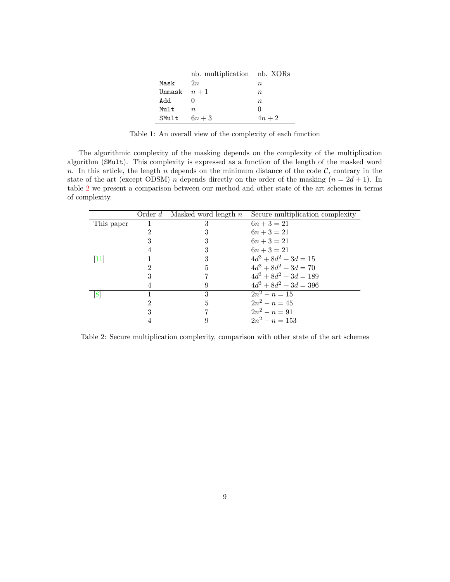|              | nb. multiplication nb. XORs |           |
|--------------|-----------------------------|-----------|
| Mask         | 2n                          | n,        |
| Unmask $n+1$ |                             | $n_{\rm}$ |
| hhA          |                             | $n_{\rm}$ |
| Mult         | $n_{\cdot}$                 |           |
| SMult        | $6n+3$                      | $4n+2$    |

<span id="page-8-0"></span>Table 1: An overall view of the complexity of each function

The algorithmic complexity of the masking depends on the complexity of the multiplication algorithm (SMult). This complexity is expressed as a function of the length of the masked word *n*. In this article, the length *n* depends on the minimum distance of the code  $C$ , contrary in the state of the art (except ODSM) *n* depends directly on the order of the masking  $(n = 2d + 1)$ . In table [2](#page-8-1) we present a comparison between our method and other state of the art schemes in terms of complexity.

|            | Order $d$ | Masked word length $n$ | Secure multiplication complexity |
|------------|-----------|------------------------|----------------------------------|
| This paper |           | 3                      | $6n + 3 = 21$                    |
|            |           |                        | $6n + 3 = 21$                    |
|            |           |                        | $6n + 3 = 21$                    |
|            |           | 3                      | $6n + 3 = 21$                    |
|            |           | 3                      | $4d^3 + 8d^2 + 3d = 15$          |
|            |           | 5                      | $4d^3 + 8d^2 + 3d = 70$          |
|            |           |                        | $4d^3 + 8d^2 + 3d = 189$         |
|            |           | 9                      | $4d^3 + 8d^2 + 3d = 396$         |
| 18         |           | 3                      | $\sqrt{2n^2-n}=15$               |
|            | 9         | 5                      | $2n^2 - n = 45$                  |
|            | 3         |                        | $2n^2 - n = 91$                  |
|            |           |                        | $2n^2 - n = 153$                 |

<span id="page-8-1"></span>Table 2: Secure multiplication complexity, comparison with other state of the art schemes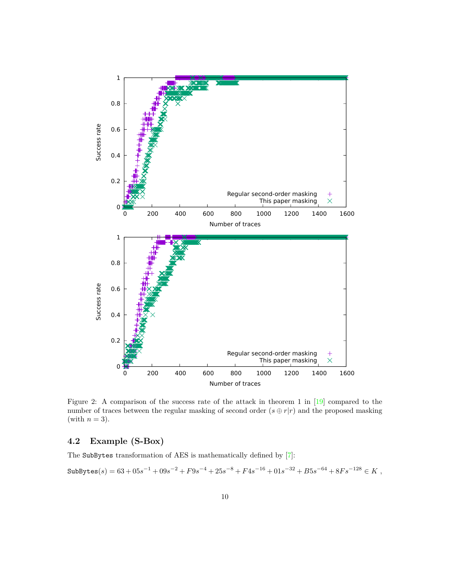

Figure 2: A comparison of the success rate of the attack in theorem 1 in [\[19\]](#page-14-8) compared to the number of traces between the regular masking of second order  $(s \oplus r|r)$  and the proposed masking (with  $n = 3$ ).

### **4.2 Example (S-Box)**

The SubBytes transformation of AES is mathematically defined by [\[7\]](#page-13-9):

 $\text{SubBytes}(s) = 63 + 05s^{-1} + 09s^{-2} + F9s^{-4} + 25s^{-8} + F4s^{-16} + 01s^{-32} + B5s^{-64} + 8Fs^{-128} \in K \; ,$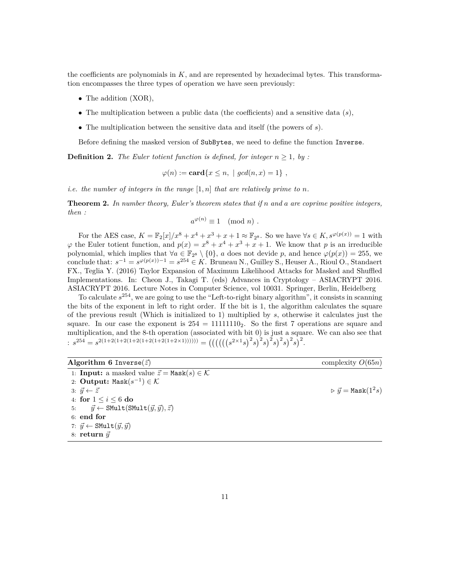the coefficients are polynomials in *K*, and are represented by hexadecimal bytes. This transformation encompasses the three types of operation we have seen previously:

- The addition (XOR),
- The multiplication between a public data (the coefficients) and a sensitive data (*s*),
- The multiplication between the sensitive data and itself (the powers of *s*).

Before defining the masked version of SubBytes, we need to define the function Inverse.

**Definition 2.** *The Euler totient function is defined, for integer*  $n \geq 1$ *, by :* 

$$
\varphi(n) := \mathbf{card}\{x \le n, \mid \gcd(n, x) = 1\},\
$$

*i.e. the number of integers in the range*  $[1, n]$  *that are relatively prime to n.* 

**Theorem 2.** *In number theory, Euler's theorem states that if n and a are coprime positive integers, then :*

$$
a^{\varphi(n)} \equiv 1 \pmod{n} .
$$

For the AES case,  $K = \mathbb{F}_2[x]/x^8 + x^4 + x^3 + x + 1 \approx \mathbb{F}_{2^8}$ . So we have  $\forall s \in K$ ,  $s^{\varphi(p(x))} = 1$  with  $\varphi$  the Euler totient function, and  $p(x) = x^8 + x^4 + x^3 + x + 1$ . We know that *p* is an irreducible polynomial, which implies that  $\forall a \in \mathbb{F}_{2^8} \setminus \{0\}$ , *a* does not devide *p*, and hence  $\varphi(p(x)) = 255$ , we conclude that:  $s^{-1} = s^{\varphi(p(x)) - 1} = s^{254} \in K$ . Bruneau N., Guilley S., Heuser A., Rioul O., Standaert FX., Teglia Y. (2016) Taylor Expansion of Maximum Likelihood Attacks for Masked and Shuffled Implementations. In: Cheon J., Takagi T. (eds) Advances in Cryptology – ASIACRYPT 2016. ASIACRYPT 2016. Lecture Notes in Computer Science, vol 10031. Springer, Berlin, Heidelberg

To calculate *s* <sup>254</sup>, we are going to use the "Left-to-right binary algorithm", it consists in scanning the bits of the exponent in left to right order. If the bit is 1, the algorithm calculates the square of the previous result (Which is initialized to 1) multiplied by *s*, otherwise it calculates just the square. In our case the exponent is  $254 = 11111110_2$ . So the first 7 operations are square and multiplication, and the 8-th operation (associated with bit 0) is just a square. We can also see that  $s^{254} = s^{2(1+2(1+2(1+2(1+2(1+2x1)))))))} = (((((s^{2\times 1}s)^2 s)^2 s)^2 s)^2 s)^2$ 

| Algorithm 6 Inverse $(\vec{z})$                                               | complexity $O(65n)$                            |
|-------------------------------------------------------------------------------|------------------------------------------------|
| 1: <b>Input:</b> a masked value $\vec{z} = \text{Mask}(s) \in \mathcal{K}$    |                                                |
| 2: Output: Mask $(s^{-1}) \in \mathcal{K}$                                    |                                                |
| 3: $\vec{y} \leftarrow \vec{z}$                                               | $\triangleright \vec{y} = \texttt{Mask}(1^2s)$ |
| 4: for $1 \le i \le 6$ do                                                     |                                                |
| 5: $\vec{y} \leftarrow \text{SMult}(\text{SMult}(\vec{y}, \vec{y}), \vec{z})$ |                                                |
| $6:$ end for                                                                  |                                                |
| 7: $\vec{y} \leftarrow \texttt{SMult}(\vec{y}, \vec{y})$                      |                                                |
| 8: return $\vec{y}$                                                           |                                                |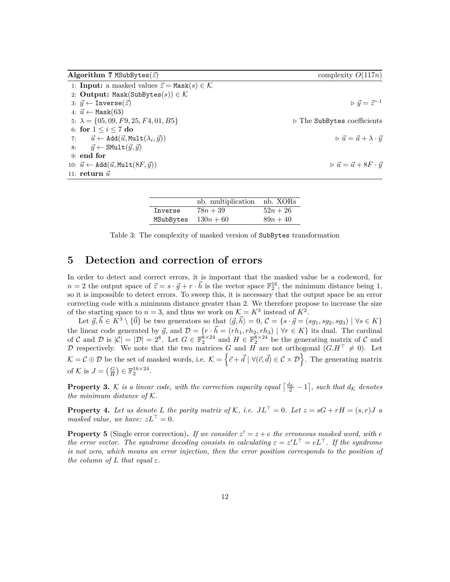| Algorithm 7 MSubBytes $(\vec{z})$                                            | complexity $O(117n)$                                       |
|------------------------------------------------------------------------------|------------------------------------------------------------|
| 1: <b>Input:</b> a masked values $\vec{z} = \text{Mask}(s) \in \mathcal{K}$  |                                                            |
| 2: Output: Mask(SubBytes(s)) $\in \mathcal{K}$                               |                                                            |
| 3: $\vec{y} \leftarrow \text{Inverse}(\vec{z})$                              | $\triangleright \vec{y} = \vec{z}^{-1}$                    |
| 4: $\vec{u} \leftarrow \text{Mask}(63)$                                      |                                                            |
| 5: $\lambda = \{05, 09, F9, 25, F4, 01, B5\}$                                | $\triangleright$ The SubBytes coefficients                 |
| 6: for $1 \leq i \leq 7$ do                                                  |                                                            |
| 7: $\vec{u} \leftarrow \text{Add}(\vec{u}, \text{Mult}(\lambda_i, \vec{y}))$ | $\triangleright \vec{u} = \vec{u} + \lambda \cdot \vec{y}$ |
| $\vec{y} \leftarrow \texttt{SMult}(\vec{y}, \vec{y})$<br>8:                  |                                                            |
| $9:$ end for                                                                 |                                                            |
| 10: $\vec{u} \leftarrow \text{Add}(\vec{u}, \text{Mult}(8F, \vec{y}))$       | $\triangleright \vec{u} = \vec{u} + 8F \cdot \vec{y}$      |
| 11: return $\vec{u}$                                                         |                                                            |

|           | nb. multiplication nb. XORs |            |
|-----------|-----------------------------|------------|
| Inverse   | $78n + 39$                  | $52n + 26$ |
| MSubBytes | $130n + 60$                 | $89n + 40$ |

Table 3: The complexity of masked version of SubBytes transformation

# **5 Detection and correction of errors**

In order to detect and correct errors, it is important that the masked value be a codeword, for  $n = 2$  the output space of  $\vec{z} = s \cdot \vec{g} + r \cdot \vec{h}$  is the vector space  $\mathbb{F}_2^{16}$ , the minimum distance being 1, so it is impossible to detect errors. To sweep this, it is necessary that the output space be an error correcting code with a minimum distance greater than 2. We therefore propose to increase the size of the starting space to  $n = 3$ , and thus we work on  $K = K^3$  instead of  $K^2$ .

Let  $\vec{g}, \vec{h} \in K^3 \setminus {\{\vec{0}\}}$  be two generators so that  $\langle \vec{g}, \vec{h} \rangle = 0$ ,  $C = \{s \cdot \vec{g} = (sg_1, sg_2, sg_3) \mid \forall s \in K\}$ the linear code generated by  $\vec{g}$ , and  $\mathcal{D} = \{r \cdot \vec{h} = (rh_1, rh_2, rh_3) \mid \forall r \in K\}$  its dual. The cardinal of C and D is  $|\mathcal{C}| = |\mathcal{D}| = 2^8$ . Let  $G \in \mathbb{F}_2^8 \times 2^4$  and  $H \in \mathbb{F}_2^8 \times 2^4$  be the generating matrix of C and D respectively. We note that the two matrices G and  $H$  are not orthogonal  $(G.H^{\top} \neq 0)$ . Let  $\mathcal{K} = \mathcal{C} \oplus \mathcal{D}$  be the set of masked words, i.e.  $\mathcal{K} = \{\vec{c} + \vec{d} \mid \forall (\vec{c}, \vec{d}) \in \mathcal{C} \times \mathcal{D}\}$ . The generating matrix of K is  $J = \left(\frac{G}{H}\right) \in \mathbb{F}_2^{16 \times 24}$ .

**Property 3.** K is a linear code, with the correction capacity equal  $\left[\frac{d_K}{2} - 1\right]$ , such that  $d_K$  denotes *the minimum distance of* K*.*

**Property 4.** Let us denote L the parity matrix of K, i.e.  $J L^{\top} = 0$ . Let  $z = sG + rH = (s, r)J$  a *masked value, we have:*  $zL^{\top} = 0$ *.* 

**Property 5** (Single error correction). If we consider  $z' = z + e$  the erroneous masked word, with *e the error vector. The syndrome decoding consists in calculating*  $\varepsilon = z'L^{\top} = eL^{\top}$ . If the syndrome *is not zero, which means an error injection, then the error position corresponds to the position of the column of*  $L$  *that equal*  $\varepsilon$ *.*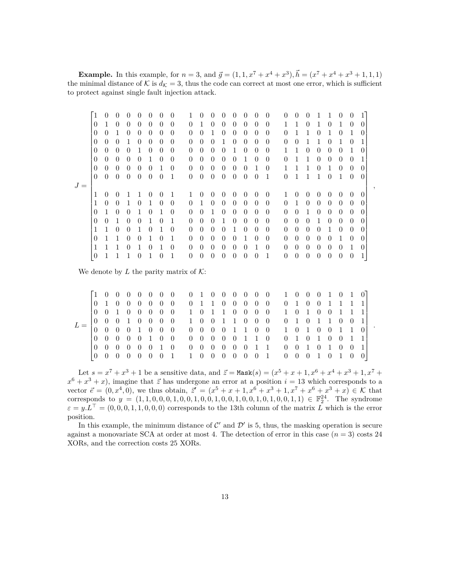**Example.** In this example, for  $n = 3$ , and  $\vec{g} = (1, 1, x^7 + x^4 + x^3), \vec{h} = (x^7 + x^4 + x^3 + 1, 1, 1)$ the minimal distance of K is  $d_K = 3$ , thus the code can correct at most one error, which is sufficient to protect against single fault injection attack.

|       | $^{\prime}1$   | $\Omega$       | $\theta$ | $\theta$ | $\cup$           | $\theta$         | $\theta$ |          | 1        | $\Omega$     | $\theta$       | 0              | $\theta$ | $\theta$ |          | 0                | $\Omega$ | $\theta$ | $\cup$   |          |          |                |          |              |   |
|-------|----------------|----------------|----------|----------|------------------|------------------|----------|----------|----------|--------------|----------------|----------------|----------|----------|----------|------------------|----------|----------|----------|----------|----------|----------------|----------|--------------|---|
|       | 0              | 1              | $\Omega$ | $\Omega$ | $\left( \right)$ | $\left( \right)$ | $\Omega$ | $\Omega$ | $\theta$ | 1            | $\Omega$       | 0              | $\theta$ | $\Omega$ | $\theta$ | $\left( \right)$ |          |          | $\theta$ |          | $\Omega$ | 1              | $\Omega$ | $\mathbf{0}$ |   |
|       | 0              | $\Omega$       | 1        | $\Omega$ | $\theta$         | $\Omega$         | $\Omega$ | $\Omega$ | $\Omega$ | $\Omega$     | 1              | $\Omega$       | $\theta$ | $\Omega$ | 0        | $\Omega$         | $\Omega$ |          |          | $\theta$ |          | $\Omega$       |          | $\mathbf{0}$ |   |
|       | $\overline{0}$ | $\theta$       | $\theta$ |          | 0                | $\left( \right)$ | $\Omega$ | $\Omega$ | $\theta$ | $\theta$     | $\overline{0}$ |                | $\theta$ | $\theta$ | 0        | $\Omega$         | $\theta$ | $\theta$ |          |          | $\Omega$ |                | $\Omega$ |              |   |
|       | $\theta$       | $\theta$       | $\Omega$ | $\Omega$ |                  | $\left( \right)$ | $\Omega$ | $\Omega$ | $\Omega$ | $\theta$     | $\Omega$       | 0              | 1        | $\Omega$ | $\Omega$ | $\Omega$         |          |          | $\theta$ | $\theta$ | $\Omega$ | $\theta$       | 1        |              |   |
|       | $\theta$       | $\Omega$       | $\Omega$ | $\Omega$ | 0                |                  | $\Omega$ | $\Omega$ | $\Omega$ | $\theta$     | $\Omega$       | 0              | $\Omega$ |          | $\Omega$ | $\Omega$         | $\Omega$ |          |          | $\theta$ | $\Omega$ | $\Omega$       | $\theta$ |              |   |
|       | $\theta$       | $\theta$       | $\theta$ | $\theta$ | 0                | $\Omega$         | 1        | $\Omega$ | $\Omega$ | $\Omega$     | $\theta$       | 0              | $\theta$ | $\theta$ |          | $\Omega$         |          |          |          | $\theta$ | 1        | $\overline{0}$ | $\Omega$ |              |   |
|       | $\theta$       | $\overline{0}$ | $\theta$ | $\theta$ | $\theta$         | $\theta$         | $\theta$ | 1        | $\theta$ | $\theta$     | $\theta$       | $\theta$       | $\theta$ | $\theta$ | $\Omega$ | 1                | $\theta$ | 1        | 1        | 1        | $\Omega$ | 1              | $\Omega$ |              |   |
| $J =$ |                |                |          |          |                  |                  |          |          |          |              |                |                |          |          |          |                  |          |          |          |          |          |                |          |              | , |
|       |                | $\Omega$       | $\theta$ |          |                  | $\left( \right)$ | $\theta$ |          | 1        | $\theta$     | $\Omega$       | $\theta$       | $\theta$ | $\theta$ | 0        | $\theta$         | 1        | $\theta$ | $\theta$ | $\theta$ | $\Omega$ | $\Omega$       | $\theta$ | $\Omega$     |   |
|       | 1              | $\theta$       | $\Omega$ | 1        | $\Omega$         | 1                | $\Omega$ | $\Omega$ | $\theta$ | $\mathbf{1}$ | $\Omega$       | $\Omega$       | $\theta$ | $\Omega$ | $\Omega$ | $\Omega$         | $\theta$ | 1        | $\theta$ | $\theta$ | $\Omega$ | $\Omega$       | $\Omega$ | $\mathbf{0}$ |   |
|       | 0              |                | $\Omega$ | $\Omega$ |                  | $\Omega$         | 1        | $\Omega$ | $\Omega$ | $\left($     | 1              | $\theta$       | $\theta$ | $\Omega$ | 0        | $\Omega$         | $\theta$ | $\Omega$ |          | $\theta$ | $\theta$ | $\Omega$       | $\Omega$ | 0            |   |
|       | 0              | $\Omega$       | 1        | $\Omega$ | $\left( \right)$ |                  | $\Omega$ | 1        | $\Omega$ | $\left($     | $\Omega$       |                | $\Omega$ | $\Omega$ | 0        | $\theta$         | $\theta$ | $\Omega$ | $\theta$ |          | $\Omega$ | $\Omega$       | $\Omega$ |              |   |
|       | 1              | 1              | $\Omega$ | $\Omega$ |                  | $\Omega$         |          | $\Omega$ | $\theta$ | $\theta$     | $\Omega$       | $\overline{0}$ |          | $\theta$ | $\Omega$ | $\Omega$         | $\theta$ | $\theta$ | $\theta$ | $\theta$ | 1        | $\theta$       | $\theta$ | 0            |   |
|       | 0              |                |          | $\Omega$ | $\left( \right)$ |                  | $\Omega$ | 1        | $\Omega$ | $\theta$     | $\theta$       | $\theta$       | $\theta$ |          | 0        | $\theta$         | $\theta$ | $\theta$ | $\theta$ | $\theta$ | $\Omega$ |                | $\theta$ | $\mathbf{0}$ |   |
|       |                |                |          | 0        |                  | $\left( \right)$ |          | $\Omega$ | $\Omega$ | $\left($     | $\Omega$       | 0              | $\Omega$ | $\Omega$ |          | $\Omega$         | $\Omega$ | $\theta$ | $\theta$ | $\theta$ | $\Omega$ | $\theta$       | 1        | $\mathbf{0}$ |   |
|       | $\theta$       |                |          |          | 0                |                  |          |          | $\Omega$ | $\Omega$     | $\Omega$       | 0              | $\Omega$ | 0        | 0        |                  | $\theta$ | $\theta$ | $\theta$ | $\theta$ | $\theta$ | $\overline{0}$ | $\theta$ |              |   |
|       |                |                |          |          |                  |                  |          |          |          |              |                |                |          |          |          |                  |          |          |          |          |          |                |          |              |   |

We denote by  $L$  the parity matrix of  $K$ :

|                                                                                                                                               | 10000000                        |                   |                    |                     |            | 0 1 0 0 0 0 0 0 1 0 0 0 1 0 1 0                                                                                   |  |  |  |  |  |  |                     |  |  |
|-----------------------------------------------------------------------------------------------------------------------------------------------|---------------------------------|-------------------|--------------------|---------------------|------------|-------------------------------------------------------------------------------------------------------------------|--|--|--|--|--|--|---------------------|--|--|
|                                                                                                                                               | $ 0 \t1 \t0$                    | $0\quad 0\quad 0$ |                    |                     | $0\quad 0$ | 0 1 1 0 0 0 0 0 0 1 0 0 1 1 1 1                                                                                   |  |  |  |  |  |  |                     |  |  |
|                                                                                                                                               |                                 |                   |                    |                     |            | $\begin{bmatrix} 0 & 0 & 1 & 0 & 0 & 0 & 0 & 0 & 1 & 0 & 1 & 1 & 0 & 0 & 0 & 0 & 1 & 0 & 1 & 1 & 1 \end{bmatrix}$ |  |  |  |  |  |  |                     |  |  |
|                                                                                                                                               | $0 \t0 \t0 \t1 \t0 \t0 \t0 \t0$ |                   |                    |                     |            | 1 0 0 1 1 0 0 0 0 1 0 1 1 0 0 1                                                                                   |  |  |  |  |  |  |                     |  |  |
| $L = \begin{bmatrix} 0 & 0 & 0 & 1 & 0 & 0 & 0 & 0 & 0 & 0 & 0 & 0 & 0 & 0 & 0 & 1 & 1 & 0 & 0 & 0 & 1 & 1 & 0 & 0 & 1 & 1 & 0 \end{bmatrix}$ |                                 |                   |                    |                     |            |                                                                                                                   |  |  |  |  |  |  |                     |  |  |
|                                                                                                                                               | 0 0 0 0 0 1 0 0                 |                   |                    |                     |            | 0 0 0 0 0 1 1 0 0 1 0 1 0 0 1 1                                                                                   |  |  |  |  |  |  |                     |  |  |
|                                                                                                                                               | 10 O O                          | $0\quad 0$        |                    | $0 \quad 1 \quad 0$ |            | 0 0 0 0 0 0 1 1 0 0 1 0 1 0 0 1                                                                                   |  |  |  |  |  |  |                     |  |  |
|                                                                                                                                               | $0\quad 0$                      |                   | $\hspace{0.1em} 0$ | - 0                 | $0\quad1$  | 1 0 0 0 0 0 0 1 0 0 0 1                                                                                           |  |  |  |  |  |  | $0 \quad 1 \quad 0$ |  |  |

Let  $s = x^7 + x^3 + 1$  be a sensitive data, and  $\vec{z} = \text{Mask}(s) = (x^5 + x + 1, x^6 + x^4 + x^3 + 1, x^7 +$  $x^6 + x^3 + x$ , imagine that  $\vec{z}$  has undergone an error at a position  $i = 13$  which corresponds to a vector  $\vec{e} = (0, x^4, 0)$ , we thus obtain,  $\vec{z}' = (x^5 + x + 1, x^6 + x^3 + 1, x^7 + x^6 + x^3 + x) \in \mathcal{K}$  that corresponds to  $y = (1, 1, 0, 0, 0, 1, 0, 0, 1, 0, 0, 1, 0, 0, 1, 0, 0, 1, 0, 0, 1, 0) \in \mathbb{F}_2^{24}$ . The syndrome  $\varepsilon = y.L^{\top} = (0, 0, 0, 1, 1, 0, 0, 0)$  corresponds to the 13th column of the matrix *L* which is the error position.

In this example, the minimum distance of  $\mathcal{C}'$  and  $\mathcal{D}'$  is 5, thus, the masking operation is secure against a monovariate SCA at order at most 4. The detection of error in this case  $(n = 3)$  costs 24 XORs, and the correction costs 25 XORs.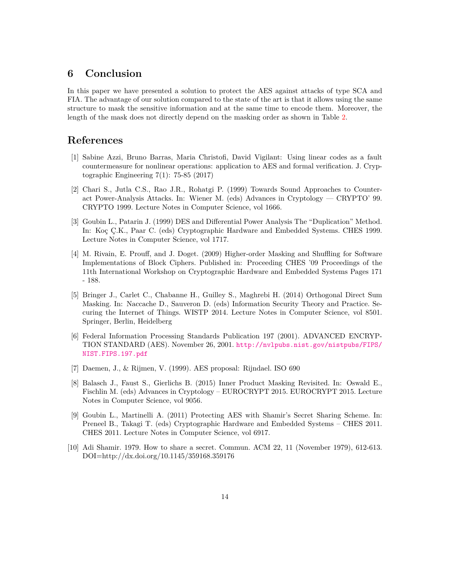# **6 Conclusion**

In this paper we have presented a solution to protect the AES against attacks of type SCA and FIA. The advantage of our solution compared to the state of the art is that it allows using the same structure to mask the sensitive information and at the same time to encode them. Moreover, the length of the mask does not directly depend on the masking order as shown in Table [2.](#page-8-1)

### **References**

- <span id="page-13-6"></span>[1] Sabine Azzi, Bruno Barras, Maria Christofi, David Vigilant: Using linear codes as a fault countermeasure for nonlinear operations: application to AES and formal verification. J. Cryptographic Engineering 7(1): 75-85 (2017)
- <span id="page-13-1"></span>[2] Chari S., Jutla C.S., Rao J.R., Rohatgi P. (1999) Towards Sound Approaches to Counteract Power-Analysis Attacks. In: Wiener M. (eds) Advances in Cryptology — CRYPTO' 99. CRYPTO 1999. Lecture Notes in Computer Science, vol 1666.
- <span id="page-13-0"></span>[3] Goubin L., Patarin J. (1999) DES and Differential Power Analysis The "Duplication" Method. In: Koç Ç.K., Paar C. (eds) Cryptographic Hardware and Embedded Systems. CHES 1999. Lecture Notes in Computer Science, vol 1717.
- <span id="page-13-2"></span>[4] M. Rivain, E. Prouff, and J. Doget. (2009) Higher-order Masking and Shuffling for Software Implementations of Block Ciphers. Published in: Proceeding CHES '09 Proceedings of the 11th International Workshop on Cryptographic Hardware and Embedded Systems Pages 171 - 188.
- <span id="page-13-5"></span>[5] Bringer J., Carlet C., Chabanne H., Guilley S., Maghrebi H. (2014) Orthogonal Direct Sum Masking. In: Naccache D., Sauveron D. (eds) Information Security Theory and Practice. Securing the Internet of Things. WISTP 2014. Lecture Notes in Computer Science, vol 8501. Springer, Berlin, Heidelberg
- <span id="page-13-8"></span>[6] Federal Information Processing Standards Publication 197 (2001). ADVANCED ENCRYP-TION STANDARD (AES). November 26, 2001. [http://nvlpubs.nist.gov/nistpubs/FIPS/](http://nvlpubs.nist.gov/nistpubs/FIPS/NIST.FIPS.197.pdf) [NIST.FIPS.197.pdf](http://nvlpubs.nist.gov/nistpubs/FIPS/NIST.FIPS.197.pdf)
- <span id="page-13-9"></span>[7] Daemen, J., & Rijmen, V. (1999). AES proposal: Rijndael. ISO 690
- <span id="page-13-7"></span>[8] Balasch J., Faust S., Gierlichs B. (2015) Inner Product Masking Revisited. In: Oswald E., Fischlin M. (eds) Advances in Cryptology – EUROCRYPT 2015. EUROCRYPT 2015. Lecture Notes in Computer Science, vol 9056.
- <span id="page-13-3"></span>[9] Goubin L., Martinelli A. (2011) Protecting AES with Shamir's Secret Sharing Scheme. In: Preneel B., Takagi T. (eds) Cryptographic Hardware and Embedded Systems – CHES 2011. CHES 2011. Lecture Notes in Computer Science, vol 6917.
- <span id="page-13-4"></span>[10] Adi Shamir. 1979. How to share a secret. Commun. ACM 22, 11 (November 1979), 612-613. DOI=http://dx.doi.org/10.1145/359168.359176